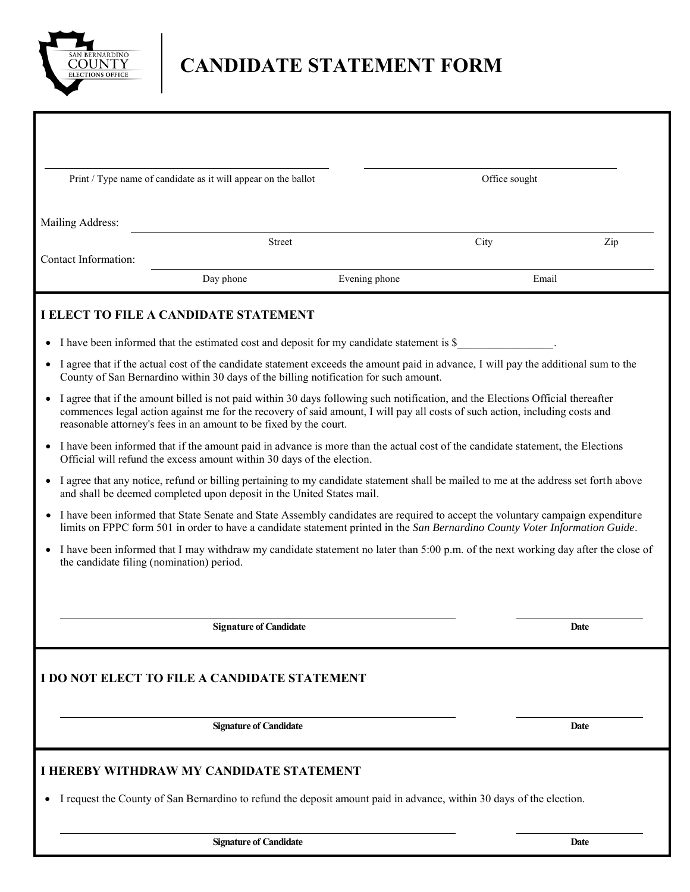

# **CANDIDATE STATEMENT FORM**

|                                                                                                                                                                                                                                                                                                                                     | Print / Type name of candidate as it will appear on the ballot |                                                                                                                                    |               |      |
|-------------------------------------------------------------------------------------------------------------------------------------------------------------------------------------------------------------------------------------------------------------------------------------------------------------------------------------|----------------------------------------------------------------|------------------------------------------------------------------------------------------------------------------------------------|---------------|------|
|                                                                                                                                                                                                                                                                                                                                     |                                                                |                                                                                                                                    | Office sought |      |
|                                                                                                                                                                                                                                                                                                                                     |                                                                |                                                                                                                                    |               |      |
| Mailing Address:                                                                                                                                                                                                                                                                                                                    |                                                                |                                                                                                                                    |               |      |
| Contact Information:                                                                                                                                                                                                                                                                                                                | <b>Street</b>                                                  |                                                                                                                                    | City          | Zip  |
|                                                                                                                                                                                                                                                                                                                                     | Day phone                                                      | Evening phone                                                                                                                      | Email         |      |
|                                                                                                                                                                                                                                                                                                                                     |                                                                |                                                                                                                                    |               |      |
| <b>I ELECT TO FILE A CANDIDATE STATEMENT</b>                                                                                                                                                                                                                                                                                        |                                                                |                                                                                                                                    |               |      |
|                                                                                                                                                                                                                                                                                                                                     |                                                                |                                                                                                                                    |               |      |
| • I have been informed that the estimated cost and deposit for my candidate statement is \$<br>I agree that if the actual cost of the candidate statement exceeds the amount paid in advance, I will pay the additional sum to the                                                                                                  |                                                                |                                                                                                                                    |               |      |
| County of San Bernardino within 30 days of the billing notification for such amount.                                                                                                                                                                                                                                                |                                                                |                                                                                                                                    |               |      |
| I agree that if the amount billed is not paid within 30 days following such notification, and the Elections Official thereafter<br>commences legal action against me for the recovery of said amount, I will pay all costs of such action, including costs and<br>reasonable attorney's fees in an amount to be fixed by the court. |                                                                |                                                                                                                                    |               |      |
| I have been informed that if the amount paid in advance is more than the actual cost of the candidate statement, the Elections<br>Official will refund the excess amount within 30 days of the election.                                                                                                                            |                                                                |                                                                                                                                    |               |      |
| I agree that any notice, refund or billing pertaining to my candidate statement shall be mailed to me at the address set forth above<br>and shall be deemed completed upon deposit in the United States mail.                                                                                                                       |                                                                |                                                                                                                                    |               |      |
| I have been informed that State Senate and State Assembly candidates are required to accept the voluntary campaign expenditure<br>limits on FPPC form 501 in order to have a candidate statement printed in the San Bernardino County Voter Information Guide.                                                                      |                                                                |                                                                                                                                    |               |      |
| the candidate filing (nomination) period.                                                                                                                                                                                                                                                                                           |                                                                | I have been informed that I may withdraw my candidate statement no later than 5:00 p.m. of the next working day after the close of |               |      |
|                                                                                                                                                                                                                                                                                                                                     |                                                                |                                                                                                                                    |               |      |
|                                                                                                                                                                                                                                                                                                                                     |                                                                |                                                                                                                                    |               |      |
|                                                                                                                                                                                                                                                                                                                                     | <b>Signature of Candidate</b>                                  |                                                                                                                                    |               | Date |
|                                                                                                                                                                                                                                                                                                                                     |                                                                |                                                                                                                                    |               |      |
| I DO NOT ELECT TO FILE A CANDIDATE STATEMENT                                                                                                                                                                                                                                                                                        |                                                                |                                                                                                                                    |               |      |
|                                                                                                                                                                                                                                                                                                                                     |                                                                |                                                                                                                                    |               |      |
|                                                                                                                                                                                                                                                                                                                                     |                                                                |                                                                                                                                    |               |      |
|                                                                                                                                                                                                                                                                                                                                     | <b>Signature of Candidate</b>                                  |                                                                                                                                    |               | Date |
| I HEREBY WITHDRAW MY CANDIDATE STATEMENT                                                                                                                                                                                                                                                                                            |                                                                |                                                                                                                                    |               |      |
|                                                                                                                                                                                                                                                                                                                                     |                                                                |                                                                                                                                    |               |      |
| I request the County of San Bernardino to refund the deposit amount paid in advance, within 30 days of the election.                                                                                                                                                                                                                |                                                                |                                                                                                                                    |               |      |
|                                                                                                                                                                                                                                                                                                                                     |                                                                |                                                                                                                                    |               |      |
|                                                                                                                                                                                                                                                                                                                                     | <b>Signature of Candidate</b>                                  |                                                                                                                                    |               | Date |